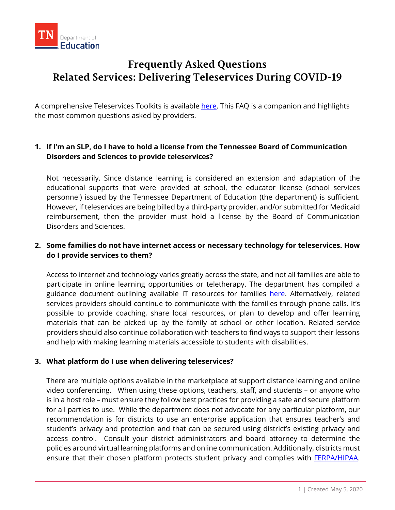

# **Frequently Asked Questions Related Services: Delivering Teleservices During COVID-19**

A comprehensive Teleservices Toolkits is available [here.](https://www.tn.gov/content/dam/tn/education/health-&-safety/Teleservices%20Toolkit.pdf) This FAQ is a companion and highlights the most common questions asked by providers.

# **1. If I'm an SLP, do I have to hold a license from the Tennessee Board of Communication Disorders and Sciences to provide teleservices?**

Not necessarily. Since distance learning is considered an extension and adaptation of the educational supports that were provided at school, the educator license (school services personnel) issued by the Tennessee Department of Education (the department) is sufficient. However, if teleservices are being billed by a third-party provider, and/or submitted for Medicaid reimbursement, then the provider must hold a license by the Board of Communication Disorders and Sciences.

# **2. Some families do not have internet access or necessary technology for teleservices. How do I provide services to them?**

Access to internet and technology varies greatly across the state, and not all families are able to participate in online learning opportunities or teletherapy. The department has compiled a guidance document outlining available IT resources for families [here.](https://www.tn.gov/content/dam/tn/education/health-&-safety/IT%20Resources%20COVID%2019.pdf) Alternatively, related services providers should continue to communicate with the families through phone calls. It's possible to provide coaching, share local resources, or plan to develop and offer learning materials that can be picked up by the family at school or other location. Related service providers should also continue collaboration with teachers to find ways to support their lessons and help with making learning materials accessible to students with disabilities.

## **3. What platform do I use when delivering teleservices?**

There are multiple options available in the marketplace at support distance learning and online video conferencing. When using these options, teachers, staff, and students – or anyone who is in a host role – must ensure they follow best practices for providing a safe and secure platform for all parties to use. While the department does not advocate for any particular platform, our recommendation is for districts to use an enterprise application that ensures teacher's and student's privacy and protection and that can be secured using district's existing privacy and access control. Consult your district administrators and board attorney to determine the policies around virtual learning platforms and online communication. Additionally, districts must ensure that their chosen platform protects student privacy and complies with **[FERPA/](https://studentprivacy.ed.gov/sites/default/files/resource_document/file/FERPA%20%20Virtual%20Learning%20032020_FINAL.pdf)HIPAA**.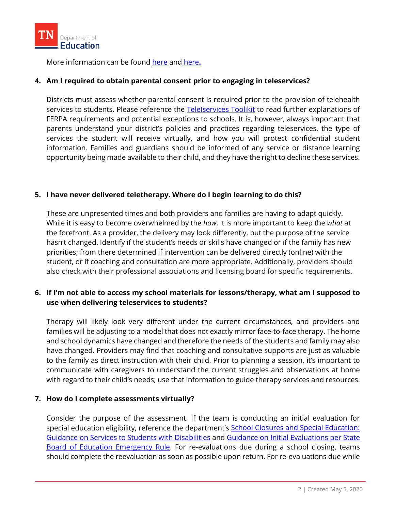

More information can be found [here](https://www.tn.gov/education/district-technology/best-practices-for-video-conferencing.html) and [here](https://studentprivacy.ed.gov/sites/default/files/resource_document/file/FERPAandVirtualLearning.pdf)**.**

## **4. Am I required to obtain parental consent prior to engaging in teleservices?**

Districts must assess whether parental consent is required prior to the provision of telehealth services to students. Please reference the [TeleIservices Toolikit](https://www.tn.gov/content/dam/tn/education/health-&-safety/Teleservices%20Toolkit.pdf) to read further explanations of FERPA requirements and potential exceptions to schools. It is, however, always important that parents understand your district's policies and practices regarding teleservices, the type of services the student will receive virtually, and how you will protect confidential student information. Families and guardians should be informed of any service or distance learning opportunity being made available to their child, and they have the right to decline these services.

## **5. I have never delivered teletherapy. Where do I begin learning to do this?**

These are unpresented times and both providers and families are having to adapt quickly. While it is easy to become overwhelmed by the *how*, it is more important to keep the *what* at the forefront. As a provider, the delivery may look differently, but the purpose of the service hasn't changed. Identify if the student's needs or skills have changed or if the family has new priorities; from there determined if intervention can be delivered directly (online) with the student, or if coaching and consultation are more appropriate. Additionally, providers should also check with their professional associations and licensing board for specific requirements.

# **6. If I'm not able to access my school materials for lessons/therapy, what am I supposed to use when delivering teleservices to students?**

Therapy will likely look very different under the current circumstances, and providers and families will be adjusting to a model that does not exactly mirror face-to-face therapy. The home and school dynamics have changed and therefore the needs of the students and family may also have changed. Providers may find that coaching and consultative supports are just as valuable to the family as direct instruction with their child. Prior to planning a session, it's important to communicate with caregivers to understand the current struggles and observations at home with regard to their child's needs; use that information to guide therapy services and resources.

#### **7. How do I complete assessments virtually?**

Consider the purpose of the assessment. If the team is conducting an initial evaluation for special education eligibility, reference the department's School Closures and Special Education: [Guidance on Services to Students with Disabilities](https://www.tn.gov/content/dam/tn/education/health-&-safety/SPED%20Guidance%20COVID_TN%20Final.pdf) and Guidance on Initial Evaluations per State Board of Education Emergency Rule. For re-evaluations due during a school closing, teams should complete the reevaluation as soon as possible upon return. For re-evaluations due while